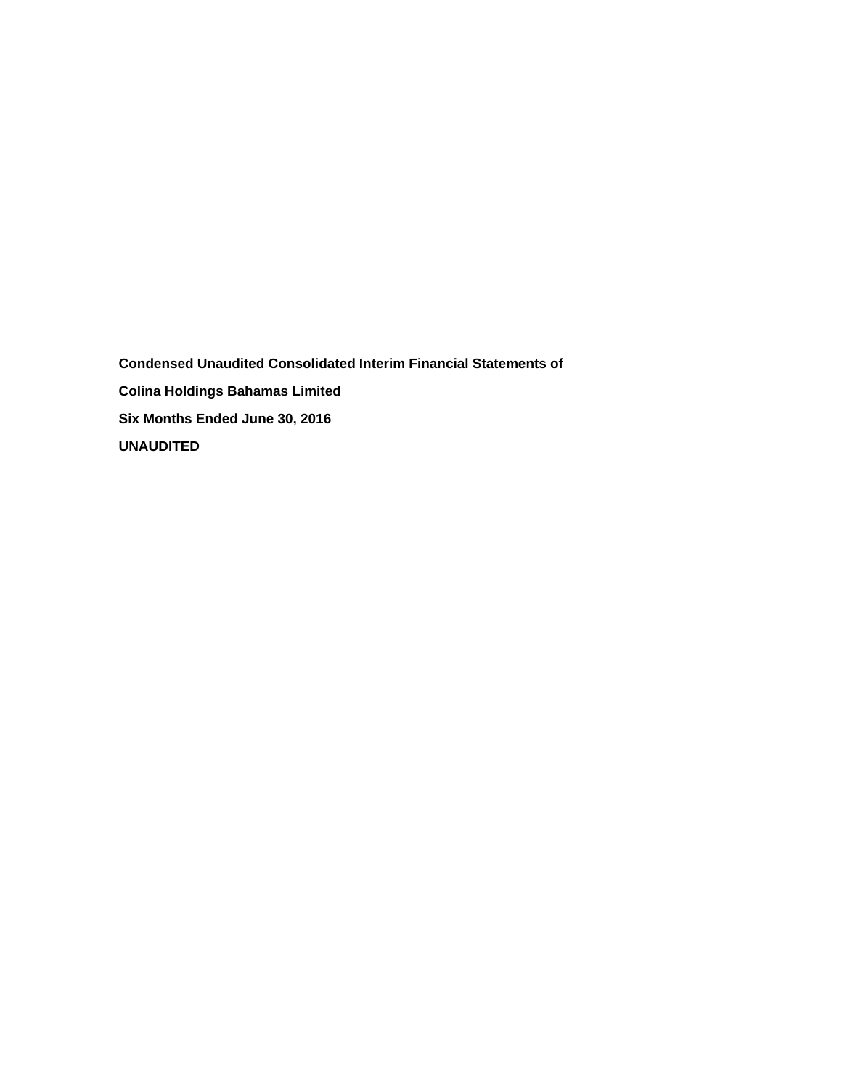**Condensed Unaudited Consolidated Interim Financial Statements of Colina Holdings Bahamas Limited Six Months Ended June 30, 2016 UNAUDITED**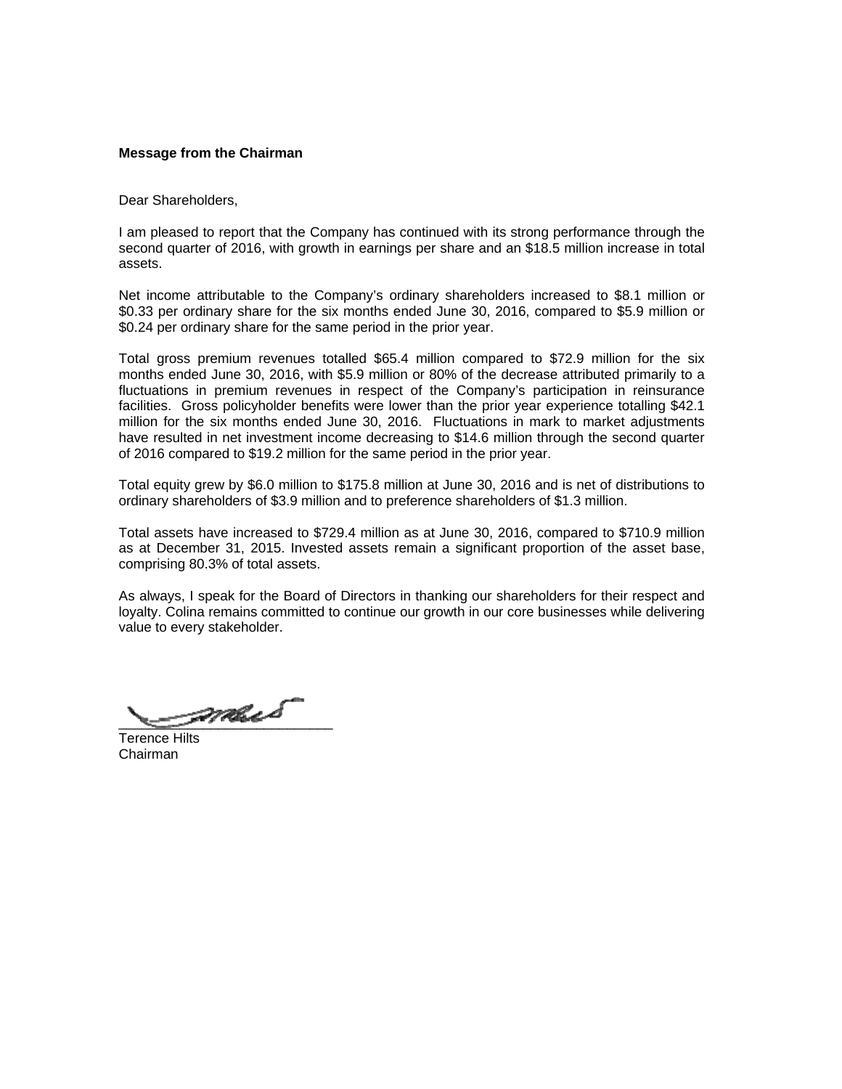## **Message from the Chairman**

Dear Shareholders,

I am pleased to report that the Company has continued with its strong performance through the second quarter of 2016, with growth in earnings per share and an \$18.5 million increase in total assets.

Net income attributable to the Company's ordinary shareholders increased to \$8.1 million or \$0.33 per ordinary share for the six months ended June 30, 2016, compared to \$5.9 million or \$0.24 per ordinary share for the same period in the prior year.

Total gross premium revenues totalled \$65.4 million compared to \$72.9 million for the six months ended June 30, 2016, with \$5.9 million or 80% of the decrease attributed primarily to a fluctuations in premium revenues in respect of the Company's participation in reinsurance facilities. Gross policyholder benefits were lower than the prior year experience totalling \$42.1 million for the six months ended June 30, 2016. Fluctuations in mark to market adjustments have resulted in net investment income decreasing to \$14.6 million through the second quarter of 2016 compared to \$19.2 million for the same period in the prior year.

Total equity grew by \$6.0 million to \$175.8 million at June 30, 2016 and is net of distributions to ordinary shareholders of \$3.9 million and to preference shareholders of \$1.3 million.

Total assets have increased to \$729.4 million as at June 30, 2016, compared to \$710.9 million as at December 31, 2015. Invested assets remain a significant proportion of the asset base, comprising 80.3% of total assets.

As always, I speak for the Board of Directors in thanking our shareholders for their respect and loyalty. Colina remains committed to continue our growth in our core businesses while delivering value to every stakeholder.

\_\_\_\_\_\_\_\_\_\_\_\_\_\_\_\_\_\_\_\_\_\_\_\_\_\_\_\_

Terence Hilts Chairman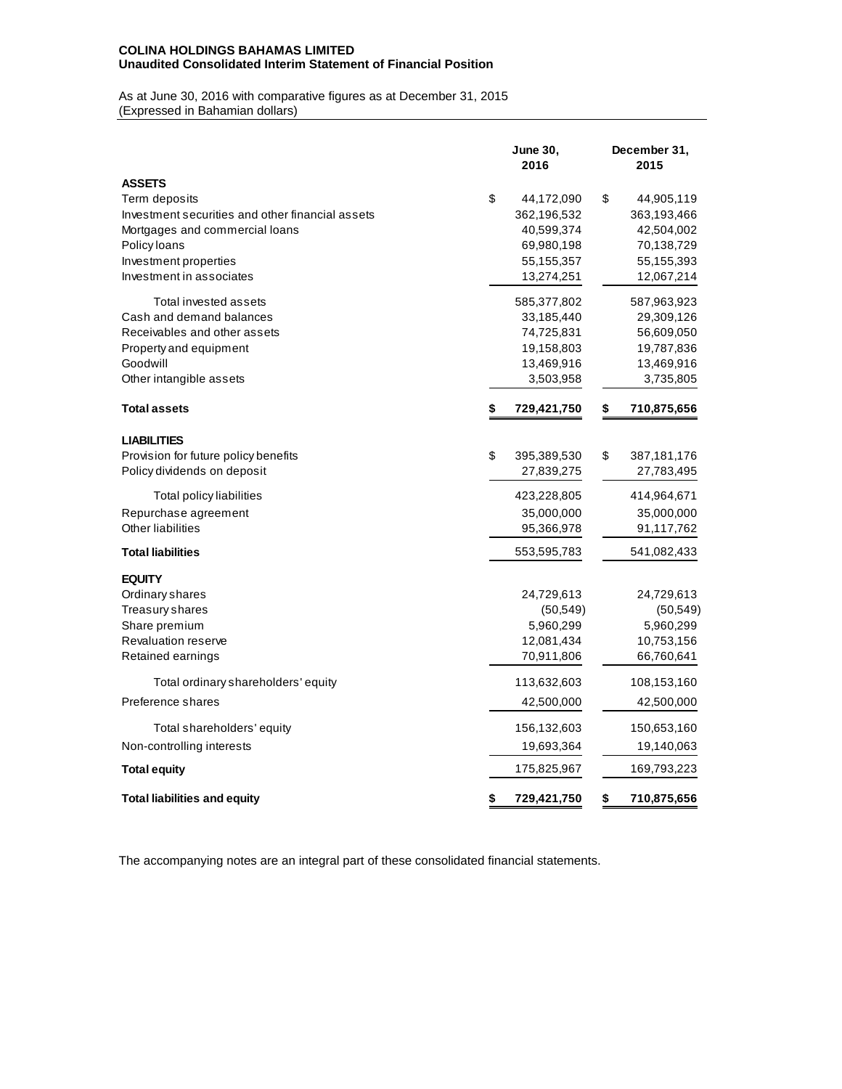## **COLINA HOLDINGS BAHAMAS LIMITED Unaudited Consolidated Interim Statement of Financial Position**

As at June 30, 2016 with comparative figures as at December 31, 2015 (Expressed in Bahamian dollars)

|                                                  | <b>June 30,</b><br>2016 |             | December 31,<br>2015 |
|--------------------------------------------------|-------------------------|-------------|----------------------|
| <b>ASSETS</b>                                    |                         |             |                      |
| Term deposits                                    | \$                      | 44,172,090  | \$<br>44,905,119     |
| Investment securities and other financial assets |                         | 362,196,532 | 363,193,466          |
| Mortgages and commercial loans                   |                         | 40,599,374  | 42,504,002           |
| Policy loans                                     |                         | 69,980,198  | 70,138,729           |
| Investment properties                            |                         | 55,155,357  | 55,155,393           |
| Investment in associates                         |                         | 13,274,251  | 12,067,214           |
| Total invested assets                            |                         | 585,377,802 | 587,963,923          |
| Cash and demand balances                         |                         | 33,185,440  | 29,309,126           |
| Receivables and other assets                     |                         | 74,725,831  | 56,609,050           |
| Property and equipment                           |                         | 19,158,803  | 19,787,836           |
| Goodwill                                         |                         | 13,469,916  | 13,469,916           |
| Other intangible assets                          |                         | 3,503,958   | 3,735,805            |
| <b>Total assets</b>                              | \$                      | 729,421,750 | \$<br>710,875,656    |
| <b>LIABILITIES</b>                               |                         |             |                      |
| Provision for future policy benefits             | \$                      | 395,389,530 | \$<br>387, 181, 176  |
| Policy dividends on deposit                      |                         | 27,839,275  | 27,783,495           |
| Total policy liabilities                         |                         | 423,228,805 | 414,964,671          |
| Repurchase agreement                             |                         | 35,000,000  | 35,000,000           |
| Other liabilities                                |                         | 95,366,978  | 91,117,762           |
| <b>Total liabilities</b>                         |                         | 553,595,783 | 541,082,433          |
| <b>EQUITY</b>                                    |                         |             |                      |
| Ordinary shares                                  |                         | 24,729,613  | 24,729,613           |
| Treasury shares                                  |                         | (50, 549)   | (50, 549)            |
| Share premium                                    |                         | 5,960,299   | 5,960,299            |
| <b>Revaluation reserve</b>                       |                         | 12,081,434  | 10,753,156           |
| Retained earnings                                |                         | 70,911,806  | 66,760,641           |
| Total ordinary shareholders' equity              |                         | 113,632,603 | 108,153,160          |
| Preference shares                                |                         | 42,500,000  | 42,500,000           |
| Total shareholders' equity                       |                         | 156,132,603 | 150,653,160          |
| Non-controlling interests                        |                         | 19,693,364  | 19,140,063           |
| <b>Total equity</b>                              |                         | 175,825,967 | 169,793,223          |
| <b>Total liabilities and equity</b>              | \$                      | 729,421,750 | \$<br>710,875,656    |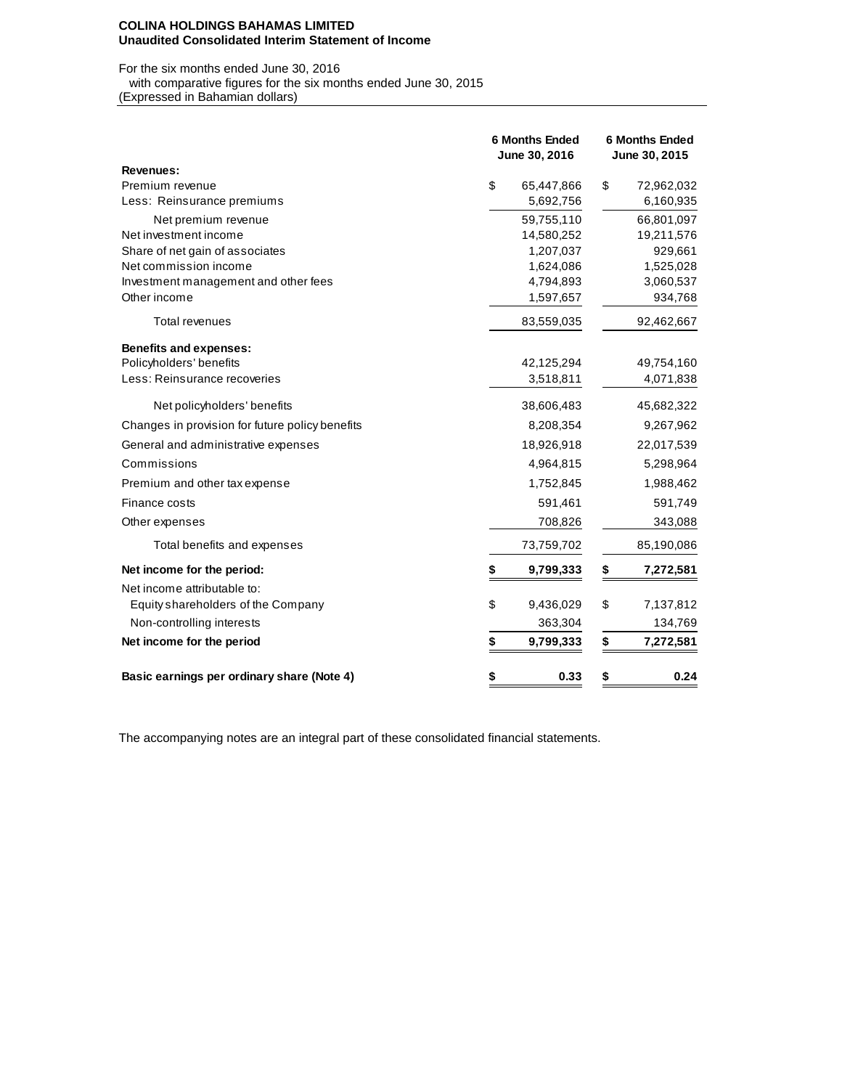#### **COLINA HOLDINGS BAHAMAS LIMITED Unaudited Consolidated Interim Statement of Income**

# For the six months ended June 30, 2016 with comparative figures for the six months ended June 30, 2015

(Expressed in Bahamian dollars)

|                                                 | <b>6 Months Ended</b><br>June 30, 2016 | <b>6 Months Ended</b><br>June 30, 2015 |
|-------------------------------------------------|----------------------------------------|----------------------------------------|
| <b>Revenues:</b>                                |                                        |                                        |
| Premium revenue                                 | \$<br>65,447,866                       | \$<br>72,962,032                       |
| Less: Reinsurance premiums                      | 5,692,756                              | 6,160,935                              |
| Net premium revenue                             | 59,755,110                             | 66,801,097                             |
| Net investment income                           | 14,580,252                             | 19,211,576                             |
| Share of net gain of associates                 | 1,207,037                              | 929,661                                |
| Net commission income                           | 1,624,086                              | 1,525,028                              |
| Investment management and other fees            | 4,794,893                              | 3,060,537                              |
| Other income                                    | 1,597,657                              | 934,768                                |
| Total revenues                                  | 83,559,035                             | 92,462,667                             |
| <b>Benefits and expenses:</b>                   |                                        |                                        |
| Policyholders' benefits                         | 42,125,294                             | 49,754,160                             |
| Less: Reinsurance recoveries                    | 3,518,811                              | 4,071,838                              |
| Net policyholders' benefits                     | 38,606,483                             | 45,682,322                             |
| Changes in provision for future policy benefits | 8,208,354                              | 9,267,962                              |
| General and administrative expenses             | 18,926,918                             | 22,017,539                             |
| Commissions                                     | 4,964,815                              | 5,298,964                              |
| Premium and other tax expense                   | 1,752,845                              | 1,988,462                              |
| Finance costs                                   | 591,461                                | 591,749                                |
| Other expenses                                  | 708,826                                | 343,088                                |
| Total benefits and expenses                     | 73,759,702                             | 85,190,086                             |
| Net income for the period:                      | \$<br>9,799,333                        | \$<br>7,272,581                        |
| Net income attributable to:                     |                                        |                                        |
| Equity shareholders of the Company              | \$<br>9,436,029                        | \$<br>7,137,812                        |
| Non-controlling interests                       | 363,304                                | 134,769                                |
| Net income for the period                       | \$<br>9,799,333                        | \$<br>7,272,581                        |
| Basic earnings per ordinary share (Note 4)      | \$<br>0.33                             | 0.24<br>\$                             |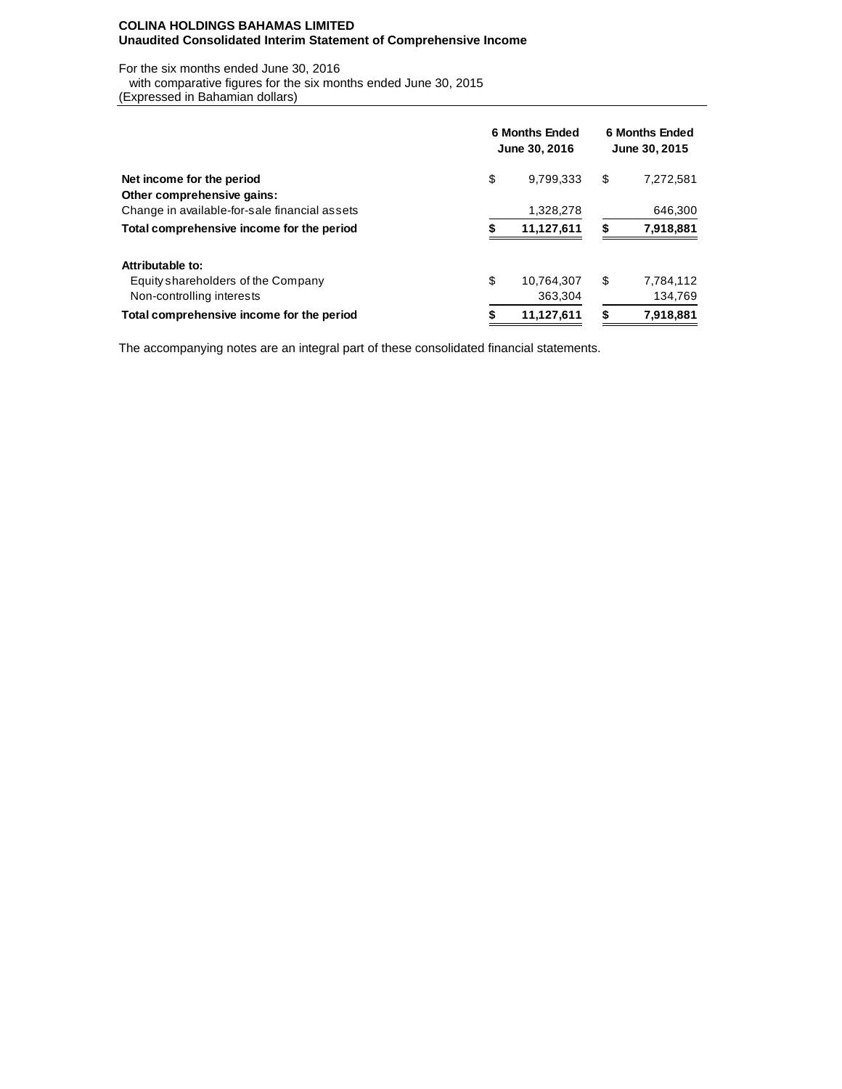## **COLINA HOLDINGS BAHAMAS LIMITED Unaudited Consolidated Interim Statement of Comprehensive Income**

For the six months ended June 30, 2016

with comparative figures for the six months ended June 30, 2015

(Expressed in Bahamian dollars)

|                                               | 6 Months Ended<br>June 30, 2016 |            |                | 6 Months Ended<br>June 30, 2015 |  |  |  |  |
|-----------------------------------------------|---------------------------------|------------|----------------|---------------------------------|--|--|--|--|
| Net income for the period                     | \$                              | 9.799.333  | \$             | 7,272,581                       |  |  |  |  |
| Other comprehensive gains:                    |                                 |            |                |                                 |  |  |  |  |
| Change in available-for-sale financial assets |                                 | 1,328,278  |                | 646,300                         |  |  |  |  |
| Total comprehensive income for the period     | 11,127,611                      |            | 7,918,881<br>S |                                 |  |  |  |  |
| Attributable to:                              |                                 |            |                |                                 |  |  |  |  |
| Equity shareholders of the Company            | \$                              | 10.764.307 | \$             | 7,784,112                       |  |  |  |  |
| Non-controlling interests                     |                                 | 363,304    |                | 134,769                         |  |  |  |  |
| Total comprehensive income for the period     | 11,127,611<br>\$                |            | \$             | 7,918,881                       |  |  |  |  |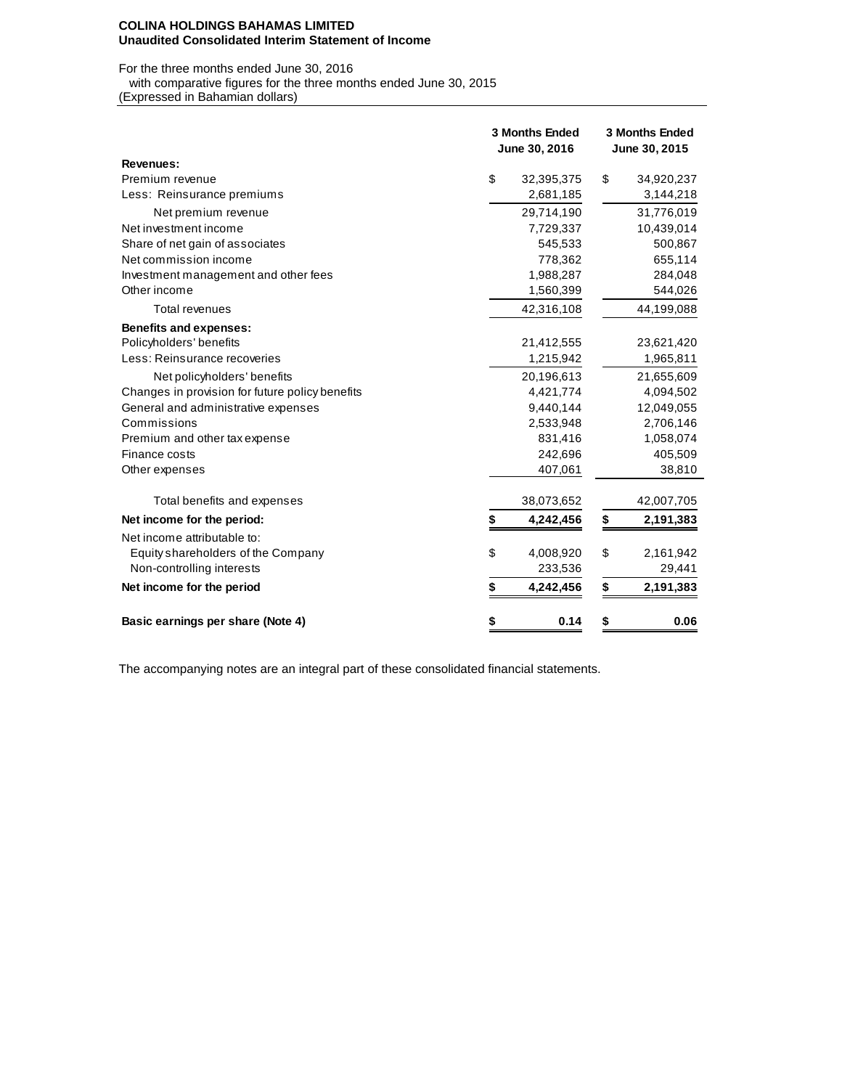#### **COLINA HOLDINGS BAHAMAS LIMITED Unaudited Consolidated Interim Statement of Income**

For the three months ended June 30, 2016 with comparative figures for the three months ended June 30, 2015

(Expressed in Bahamian dollars)

|                                                 | <b>3 Months Ended</b><br>June 30, 2016 |            | <b>3 Months Ended</b><br>June 30, 2015 |
|-------------------------------------------------|----------------------------------------|------------|----------------------------------------|
| Revenues:                                       |                                        |            |                                        |
| Premium revenue                                 | \$                                     | 32,395,375 | \$<br>34,920,237                       |
| Less: Reinsurance premiums                      |                                        | 2,681,185  | 3,144,218                              |
| Net premium revenue                             |                                        | 29,714,190 | 31,776,019                             |
| Net investment income                           |                                        | 7,729,337  | 10,439,014                             |
| Share of net gain of associates                 |                                        | 545,533    | 500,867                                |
| Net commission income                           |                                        | 778,362    | 655,114                                |
| Investment management and other fees            |                                        | 1,988,287  | 284,048                                |
| Other income                                    |                                        | 1,560,399  | 544,026                                |
| Total revenues                                  |                                        | 42,316,108 | 44,199,088                             |
| <b>Benefits and expenses:</b>                   |                                        |            |                                        |
| Policyholders' benefits                         |                                        | 21,412,555 | 23,621,420                             |
| Less: Reinsurance recoveries                    |                                        | 1,215,942  | 1,965,811                              |
| Net policyholders' benefits                     |                                        | 20,196,613 | 21,655,609                             |
| Changes in provision for future policy benefits |                                        | 4,421,774  | 4,094,502                              |
| General and administrative expenses             |                                        | 9,440,144  | 12,049,055                             |
| Commissions                                     |                                        | 2,533,948  | 2,706,146                              |
| Premium and other tax expense                   |                                        | 831,416    | 1,058,074                              |
| Finance costs                                   |                                        | 242,696    | 405,509                                |
| Other expenses                                  |                                        | 407,061    | 38,810                                 |
| Total benefits and expenses                     |                                        | 38,073,652 | 42,007,705                             |
| Net income for the period:                      | \$                                     | 4,242,456  | \$<br>2,191,383                        |
| Net income attributable to:                     |                                        |            |                                        |
| Equity shareholders of the Company              | \$                                     | 4,008,920  | \$<br>2,161,942                        |
| Non-controlling interests                       |                                        | 233,536    | 29,441                                 |
| Net income for the period                       | \$                                     | 4,242,456  | \$<br>2,191,383                        |
| Basic earnings per share (Note 4)               | \$                                     | 0.14       | \$<br>0.06                             |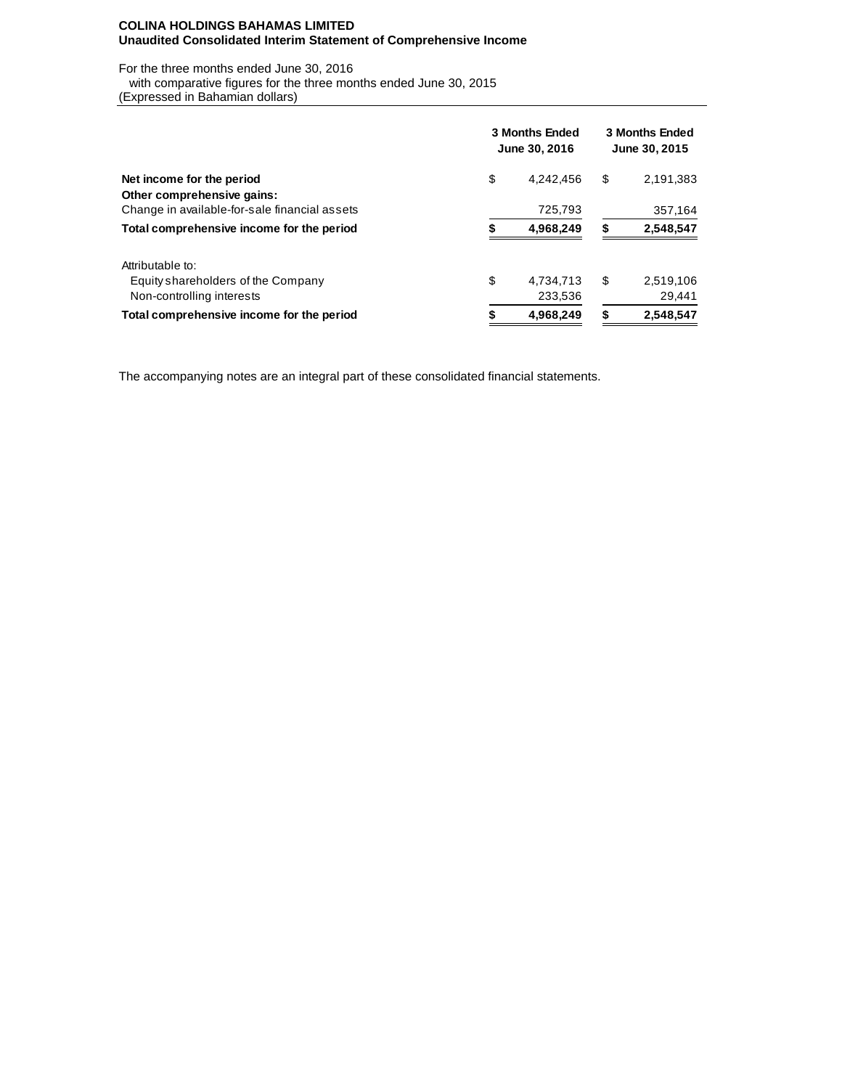## **COLINA HOLDINGS BAHAMAS LIMITED Unaudited Consolidated Interim Statement of Comprehensive Income**

For the three months ended June 30, 2016

 with comparative figures for the three months ended June 30, 2015 (Expressed in Bahamian dollars)

|                                               | <b>3 Months Ended</b><br>June 30, 2016 |           |    | <b>3 Months Ended</b><br>June 30, 2015 |  |  |  |
|-----------------------------------------------|----------------------------------------|-----------|----|----------------------------------------|--|--|--|
| Net income for the period                     | \$                                     | 4,242,456 | \$ | 2,191,383                              |  |  |  |
| Other comprehensive gains:                    |                                        |           |    |                                        |  |  |  |
| Change in available-for-sale financial assets |                                        | 725,793   |    | 357,164                                |  |  |  |
| Total comprehensive income for the period     |                                        | 4,968,249 | \$ | 2,548,547                              |  |  |  |
| Attributable to:                              |                                        |           |    |                                        |  |  |  |
| Equity shareholders of the Company            | \$                                     | 4.734.713 | \$ | 2,519,106                              |  |  |  |
| Non-controlling interests                     |                                        | 233,536   |    | 29,441                                 |  |  |  |
| Total comprehensive income for the period     | 4,968,249<br>S                         |           | \$ | 2,548,547                              |  |  |  |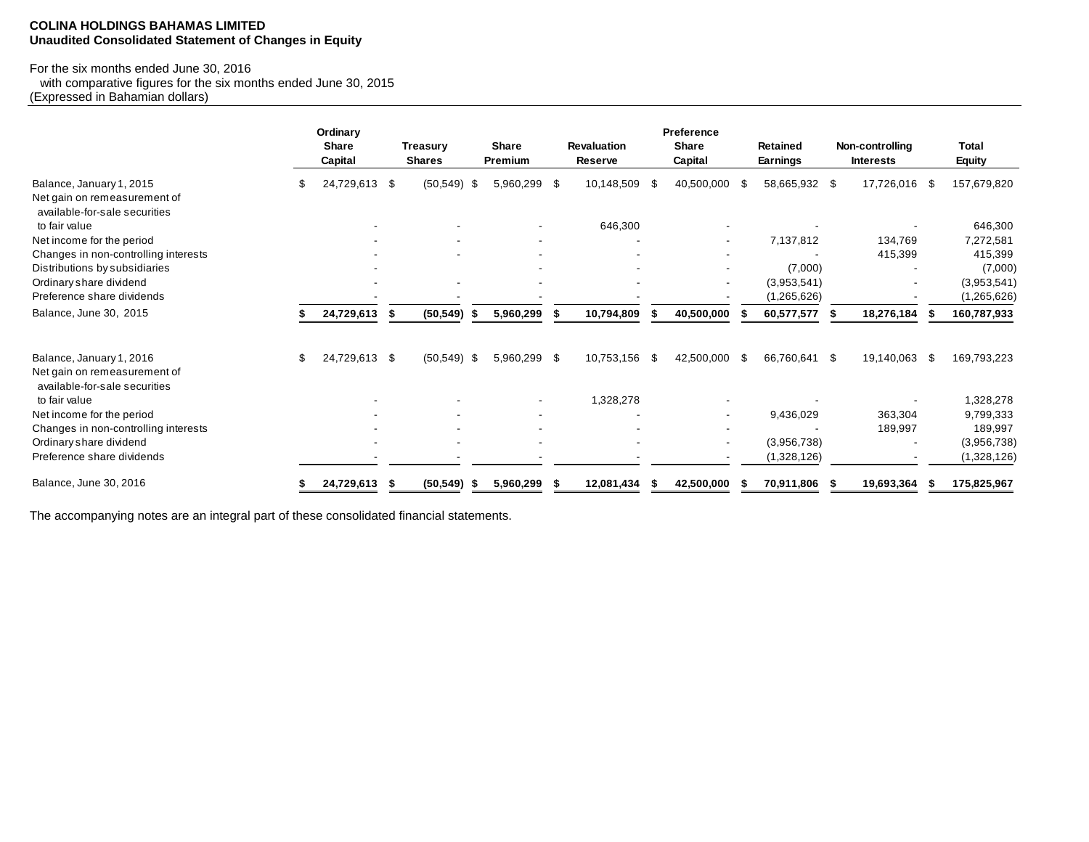#### **COLINA HOLDINGS BAHAMAS LIMITED Unaudited Consolidated Statement of Changes in Equity**

## For the six months ended June 30, 2016

 with comparative figures for the six months ended June 30, 2015 (Expressed in Bahamian dollars)

|                                                                                           | Ordinary<br><b>Share</b><br>Capital |    | <b>Treasurv</b><br><b>Shares</b> |    | <b>Share</b><br>Premium  | <b>Revaluation</b><br>Reserve |      | Preference<br><b>Share</b><br>Capital |      | <b>Retained</b><br>Earnings | Non-controlling<br><b>Interests</b> |      | <b>Total</b><br>Equity |
|-------------------------------------------------------------------------------------------|-------------------------------------|----|----------------------------------|----|--------------------------|-------------------------------|------|---------------------------------------|------|-----------------------------|-------------------------------------|------|------------------------|
| Balance, January 1, 2015<br>Net gain on remeasurement of<br>available-for-sale securities | 24,729,613                          | \$ | $(50, 549)$ \$                   |    | 5,960,299 \$             | 10,148,509                    | - \$ | 40,500,000                            | -S   | 58,665,932 \$               | 17,726,016                          | -96  | 157,679,820            |
| to fair value                                                                             |                                     |    |                                  |    |                          | 646,300                       |      |                                       |      |                             |                                     |      | 646,300                |
| Net income for the period                                                                 |                                     |    |                                  |    |                          |                               |      |                                       |      | 7,137,812                   | 134,769                             |      | 7,272,581              |
| Changes in non-controlling interests                                                      |                                     |    |                                  |    |                          |                               |      |                                       |      |                             | 415,399                             |      | 415,399                |
| Distributions by subsidiaries                                                             |                                     |    |                                  |    |                          |                               |      |                                       |      | (7,000)                     |                                     |      | (7,000)                |
| Ordinary share dividend                                                                   |                                     |    |                                  |    |                          |                               |      |                                       |      | (3,953,541)                 |                                     |      | (3,953,541)            |
| Preference share dividends                                                                |                                     |    |                                  |    |                          |                               |      |                                       |      | (1,265,626)                 |                                     |      | (1,265,626)            |
| Balance, June 30, 2015                                                                    | 24,729,613                          | £  | (50, 549)                        |    | 5,960,299                | 10,794,809                    |      | 40,500,000                            |      | 60,577,577                  | 18,276,184                          |      | 160,787,933            |
| Balance, January 1, 2016                                                                  | \$<br>24,729,613 \$                 |    | $(50,549)$ \$                    |    | 5,960,299 \$             | 10,753,156                    | -\$  | 42,500,000                            | - \$ | 66,760,641 \$               | 19,140,063                          | - \$ | 169,793,223            |
| Net gain on remeasurement of<br>available-for-sale securities                             |                                     |    |                                  |    |                          |                               |      |                                       |      |                             |                                     |      |                        |
| to fair value                                                                             |                                     |    |                                  |    | $\overline{\phantom{a}}$ | 1,328,278                     |      |                                       |      |                             |                                     |      | 1,328,278              |
| Net income for the period                                                                 |                                     |    |                                  |    |                          |                               |      |                                       |      | 9,436,029                   | 363,304                             |      | 9,799,333              |
| Changes in non-controlling interests                                                      |                                     |    |                                  |    |                          |                               |      |                                       |      |                             | 189,997                             |      | 189,997                |
| Ordinary share dividend                                                                   |                                     |    |                                  |    |                          |                               |      |                                       |      | (3,956,738)                 |                                     |      | (3,956,738)            |
| Preference share dividends                                                                |                                     |    |                                  |    |                          |                               |      |                                       |      | (1,328,126)                 |                                     |      | (1,328,126)            |
| Balance, June 30, 2016                                                                    | 24,729,613                          |    | (50, 549)                        | -5 | 5,960,299                | 12,081,434                    |      | 42,500,000                            |      | 70,911,806                  | 19,693,364                          |      | 175,825,967            |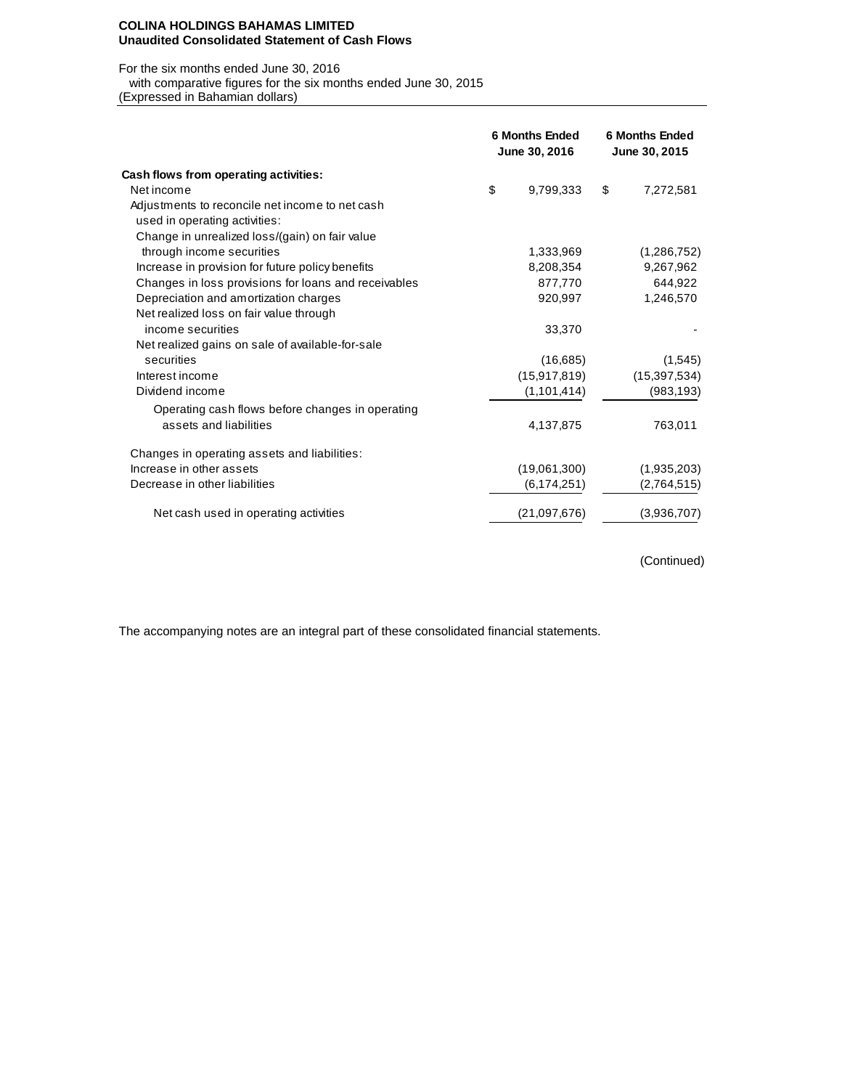#### **COLINA HOLDINGS BAHAMAS LIMITED Unaudited Consolidated Statement of Cash Flows**

#### For the six months ended June 30, 2016

with comparative figures for the six months ended June 30, 2015

(Expressed in Bahamian dollars)

|                                                                                  | <b>6 Months Ended</b><br>June 30, 2016 |                |    | <b>6 Months Ended</b><br>June 30, 2015 |
|----------------------------------------------------------------------------------|----------------------------------------|----------------|----|----------------------------------------|
| Cash flows from operating activities:                                            |                                        |                |    |                                        |
| Net income                                                                       | \$                                     | 9.799.333      | \$ | 7,272,581                              |
| Adjustments to reconcile net income to net cash<br>used in operating activities: |                                        |                |    |                                        |
| Change in unrealized loss/(gain) on fair value                                   |                                        |                |    |                                        |
| through income securities                                                        |                                        | 1,333,969      |    | (1,286,752)                            |
| Increase in provision for future policy benefits                                 |                                        | 8,208,354      |    | 9,267,962                              |
| Changes in loss provisions for loans and receivables                             |                                        | 877,770        |    | 644,922                                |
| Depreciation and amortization charges                                            |                                        | 920,997        |    | 1,246,570                              |
| Net realized loss on fair value through                                          |                                        |                |    |                                        |
| income securities                                                                |                                        | 33,370         |    |                                        |
| Net realized gains on sale of available-for-sale                                 |                                        |                |    |                                        |
| securities                                                                       |                                        | (16,685)       |    | (1,545)                                |
| Interest income                                                                  |                                        | (15, 917, 819) |    | (15, 397, 534)                         |
| Dividend income                                                                  |                                        | (1,101,414)    |    | (983, 193)                             |
| Operating cash flows before changes in operating                                 |                                        |                |    |                                        |
| assets and liabilities                                                           |                                        | 4,137,875      |    | 763,011                                |
| Changes in operating assets and liabilities:                                     |                                        |                |    |                                        |
| Increase in other assets                                                         |                                        | (19,061,300)   |    | (1,935,203)                            |
| Decrease in other liabilities                                                    |                                        | (6, 174, 251)  |    | (2,764,515)                            |
| Net cash used in operating activities                                            |                                        | (21,097,676)   |    | (3,936,707)                            |

(Continued)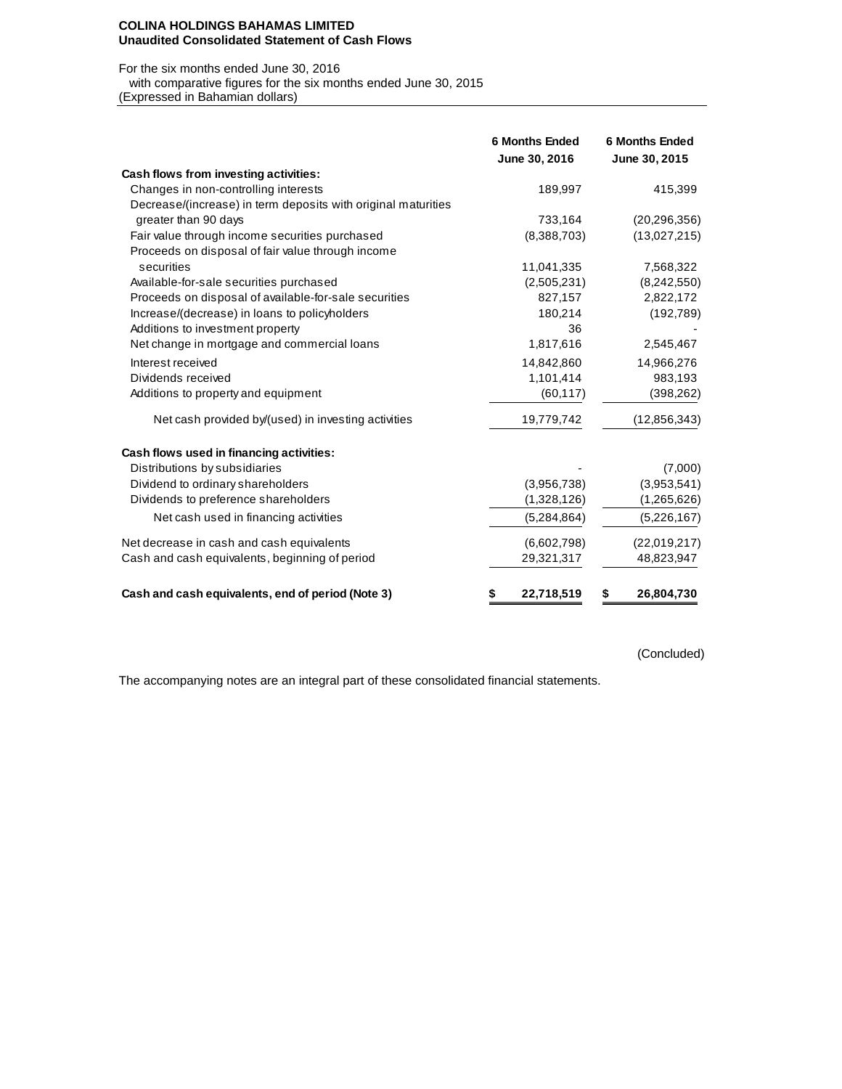#### **COLINA HOLDINGS BAHAMAS LIMITED Unaudited Consolidated Statement of Cash Flows**

#### For the six months ended June 30, 2016

 with comparative figures for the six months ended June 30, 2015 (Expressed in Bahamian dollars)

|                                                               | <b>6 Months Ended</b><br>June 30, 2016 | <b>6 Months Ended</b><br>June 30, 2015 |
|---------------------------------------------------------------|----------------------------------------|----------------------------------------|
| Cash flows from investing activities:                         |                                        |                                        |
| Changes in non-controlling interests                          | 189,997                                | 415,399                                |
| Decrease/(increase) in term deposits with original maturities |                                        |                                        |
| greater than 90 days                                          | 733,164                                | (20, 296, 356)                         |
| Fair value through income securities purchased                | (8,388,703)                            | (13,027,215)                           |
| Proceeds on disposal of fair value through income             |                                        |                                        |
| securities                                                    | 11,041,335                             | 7,568,322                              |
| Available-for-sale securities purchased                       | (2,505,231)                            | (8,242,550)                            |
| Proceeds on disposal of available-for-sale securities         | 827,157                                | 2,822,172                              |
| Increase/(decrease) in loans to policyholders                 | 180,214                                | (192, 789)                             |
| Additions to investment property                              | 36                                     |                                        |
| Net change in mortgage and commercial loans                   | 1,817,616                              | 2,545,467                              |
| Interest received                                             | 14,842,860                             | 14,966,276                             |
| Dividends received                                            | 1,101,414                              | 983,193                                |
| Additions to property and equipment                           | (60, 117)                              | (398, 262)                             |
| Net cash provided by/(used) in investing activities           | 19,779,742                             | (12, 856, 343)                         |
| Cash flows used in financing activities:                      |                                        |                                        |
| Distributions by subsidiaries                                 |                                        | (7,000)                                |
| Dividend to ordinary shareholders                             | (3.956.738)                            | (3,953,541)                            |
| Dividends to preference shareholders                          | (1,328,126)                            | (1,265,626)                            |
| Net cash used in financing activities                         | (5,284,864)                            | (5,226,167)                            |
| Net decrease in cash and cash equivalents                     | (6,602,798)                            | (22,019,217)                           |
| Cash and cash equivalents, beginning of period                | 29,321,317                             | 48,823,947                             |
| Cash and cash equivalents, end of period (Note 3)             | 22,718,519<br>\$                       | 26,804,730<br>\$                       |

(Concluded)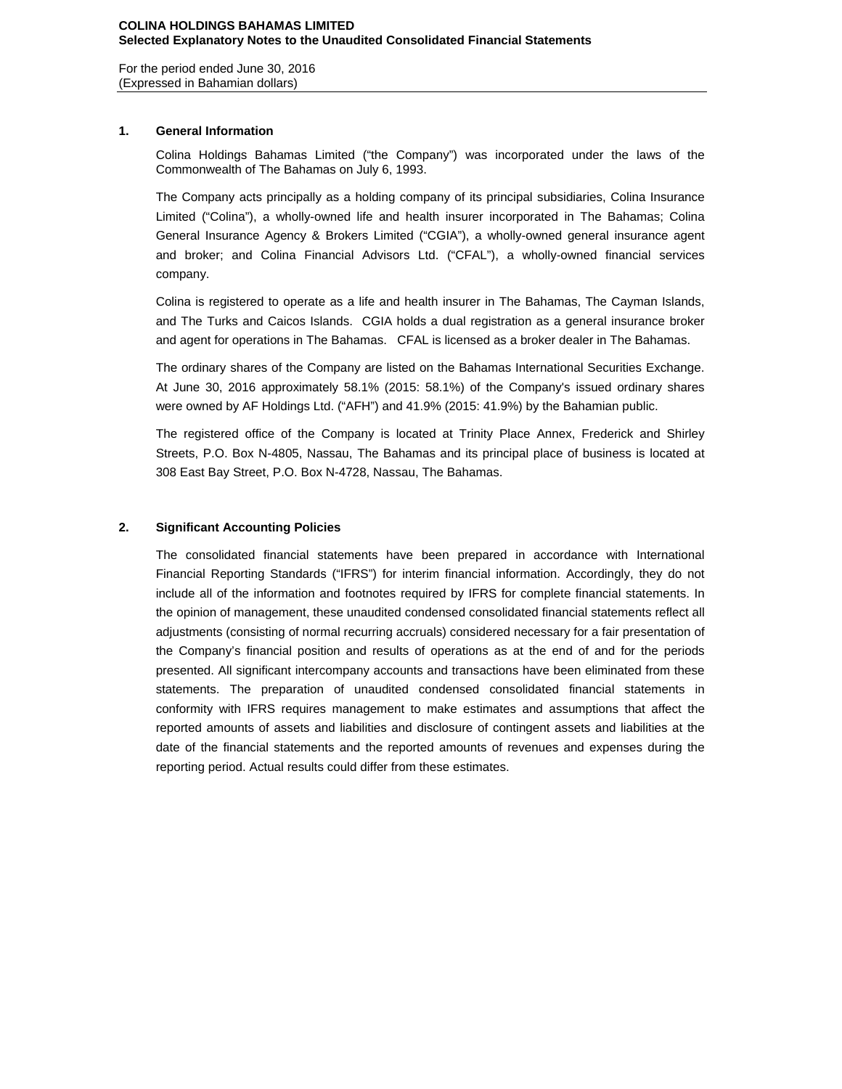For the period ended June 30, 2016 (Expressed in Bahamian dollars)

## **1. General Information**

Colina Holdings Bahamas Limited ("the Company") was incorporated under the laws of the Commonwealth of The Bahamas on July 6, 1993.

The Company acts principally as a holding company of its principal subsidiaries, Colina Insurance Limited ("Colina"), a wholly-owned life and health insurer incorporated in The Bahamas; Colina General Insurance Agency & Brokers Limited ("CGIA"), a wholly-owned general insurance agent and broker; and Colina Financial Advisors Ltd. ("CFAL"), a wholly-owned financial services company.

Colina is registered to operate as a life and health insurer in The Bahamas, The Cayman Islands, and The Turks and Caicos Islands. CGIA holds a dual registration as a general insurance broker and agent for operations in The Bahamas. CFAL is licensed as a broker dealer in The Bahamas.

The ordinary shares of the Company are listed on the Bahamas International Securities Exchange. At June 30, 2016 approximately 58.1% (2015: 58.1%) of the Company's issued ordinary shares were owned by AF Holdings Ltd. ("AFH") and 41.9% (2015: 41.9%) by the Bahamian public.

The registered office of the Company is located at Trinity Place Annex, Frederick and Shirley Streets, P.O. Box N-4805, Nassau, The Bahamas and its principal place of business is located at 308 East Bay Street, P.O. Box N-4728, Nassau, The Bahamas.

## **2. Significant Accounting Policies**

The consolidated financial statements have been prepared in accordance with International Financial Reporting Standards ("IFRS") for interim financial information. Accordingly, they do not include all of the information and footnotes required by IFRS for complete financial statements. In the opinion of management, these unaudited condensed consolidated financial statements reflect all adjustments (consisting of normal recurring accruals) considered necessary for a fair presentation of the Company's financial position and results of operations as at the end of and for the periods presented. All significant intercompany accounts and transactions have been eliminated from these statements. The preparation of unaudited condensed consolidated financial statements in conformity with IFRS requires management to make estimates and assumptions that affect the reported amounts of assets and liabilities and disclosure of contingent assets and liabilities at the date of the financial statements and the reported amounts of revenues and expenses during the reporting period. Actual results could differ from these estimates.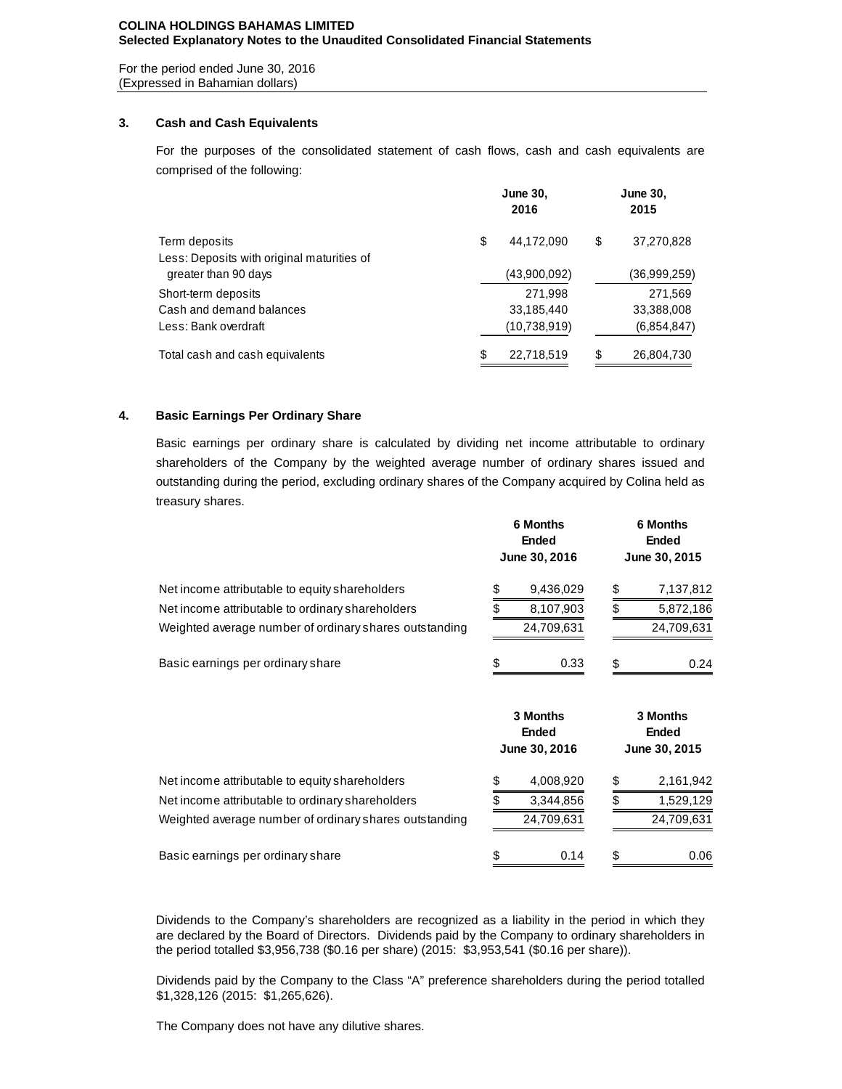#### **COLINA HOLDINGS BAHAMAS LIMITED Selected Explanatory Notes to the Unaudited Consolidated Financial Statements**

For the period ended June 30, 2016 (Expressed in Bahamian dollars)

## **3. Cash and Cash Equivalents**

For the purposes of the consolidated statement of cash flows, cash and cash equivalents are comprised of the following:

|                                            |    | <b>June 30,</b><br>2016 | <b>June 30,</b><br>2015 |              |  |  |
|--------------------------------------------|----|-------------------------|-------------------------|--------------|--|--|
| Term deposits                              | \$ | 44,172,090              | \$                      | 37,270,828   |  |  |
| Less: Deposits with original maturities of |    |                         |                         |              |  |  |
| greater than 90 days                       |    | (43,900,092)            |                         | (36,999,259) |  |  |
| Short-term deposits                        |    | 271,998                 |                         | 271,569      |  |  |
| Cash and demand balances                   |    | 33,185,440              |                         | 33,388,008   |  |  |
| Less: Bank overdraft                       |    | (10,738,919)            |                         | (6,854,847)  |  |  |
| Total cash and cash equivalents            | S  | 22,718,519              | S                       | 26,804,730   |  |  |

## **4. Basic Earnings Per Ordinary Share**

Basic earnings per ordinary share is calculated by dividing net income attributable to ordinary shareholders of the Company by the weighted average number of ordinary shares issued and outstanding during the period, excluding ordinary shares of the Company acquired by Colina held as treasury shares.

|                                                        | <b>6 Months</b><br><b>Ended</b><br>June 30, 2016 | <b>6 Months</b><br><b>Ended</b><br>June 30, 2015 |                                                  |  |  |
|--------------------------------------------------------|--------------------------------------------------|--------------------------------------------------|--------------------------------------------------|--|--|
| Net income attributable to equity shareholders         | 9,436,029                                        | \$                                               | 7,137,812                                        |  |  |
| Net income attributable to ordinary shareholders       | 8,107,903                                        |                                                  | 5,872,186                                        |  |  |
| Weighted average number of ordinary shares outstanding | 24,709,631                                       |                                                  | 24,709,631                                       |  |  |
| Basic earnings per ordinary share                      | 0.33                                             | \$                                               | 0.24                                             |  |  |
|                                                        | 3 Months<br><b>Ended</b><br>June 30, 2016        |                                                  | <b>3 Months</b><br><b>Ended</b><br>June 30, 2015 |  |  |
| Net income attributable to equity shareholders         | \$<br>4,008,920                                  | \$                                               | 2,161,942                                        |  |  |
| Net income attributable to ordinary shareholders       | 3,344,856                                        |                                                  | 1,529,129                                        |  |  |

Basic earnings per ordinary share 1.1 Contract the State of Section 3.006 \$ 0.14 \$ 0.06

Dividends to the Company's shareholders are recognized as a liability in the period in which they are declared by the Board of Directors. Dividends paid by the Company to ordinary shareholders in the period totalled \$3,956,738 (\$0.16 per share) (2015: \$3,953,541 (\$0.16 per share)).

Weighted average number of ordinary shares outstanding 24,709,631 24,709,631

Dividends paid by the Company to the Class "A" preference shareholders during the period totalled \$1,328,126 (2015: \$1,265,626).

The Company does not have any dilutive shares.